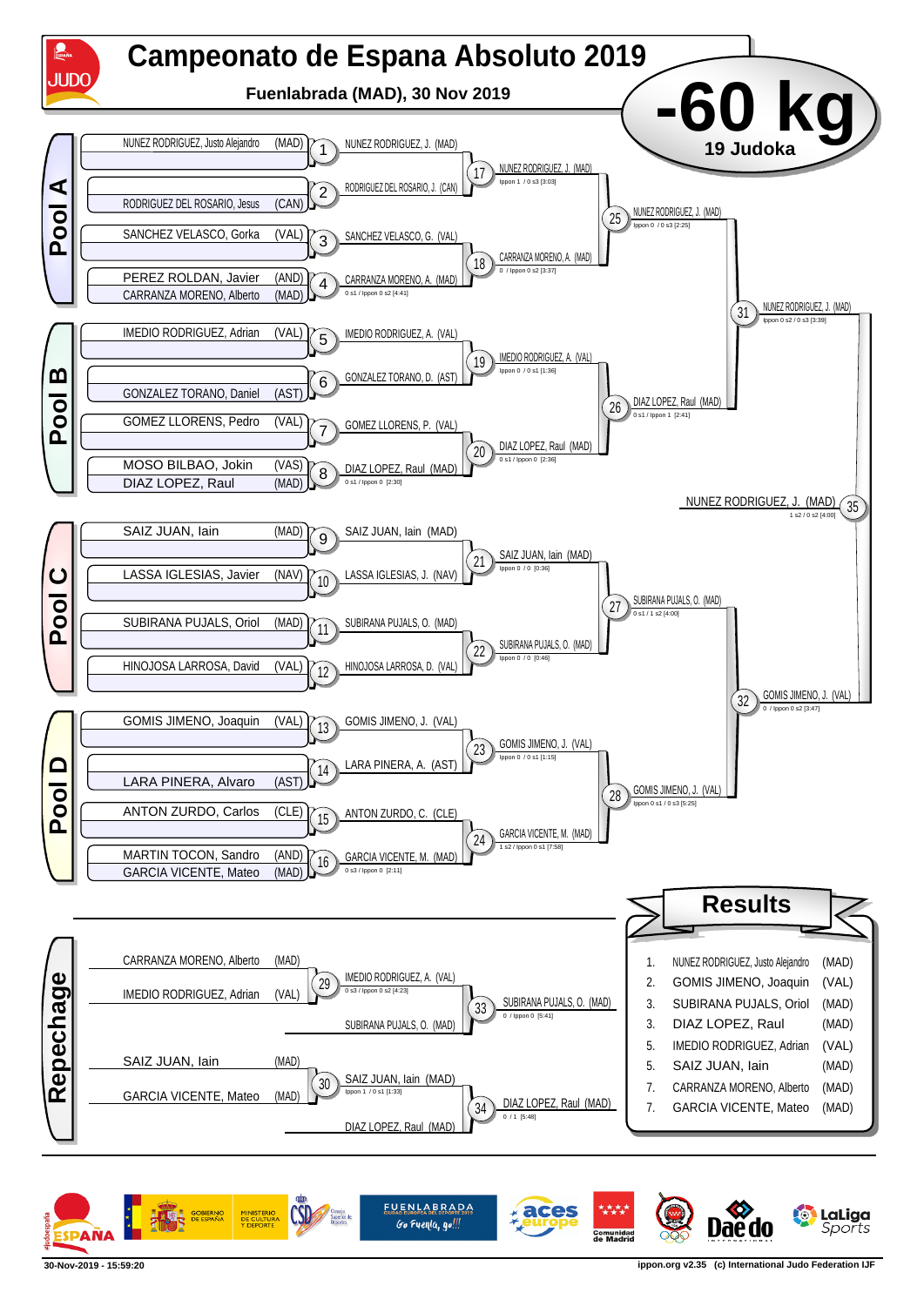

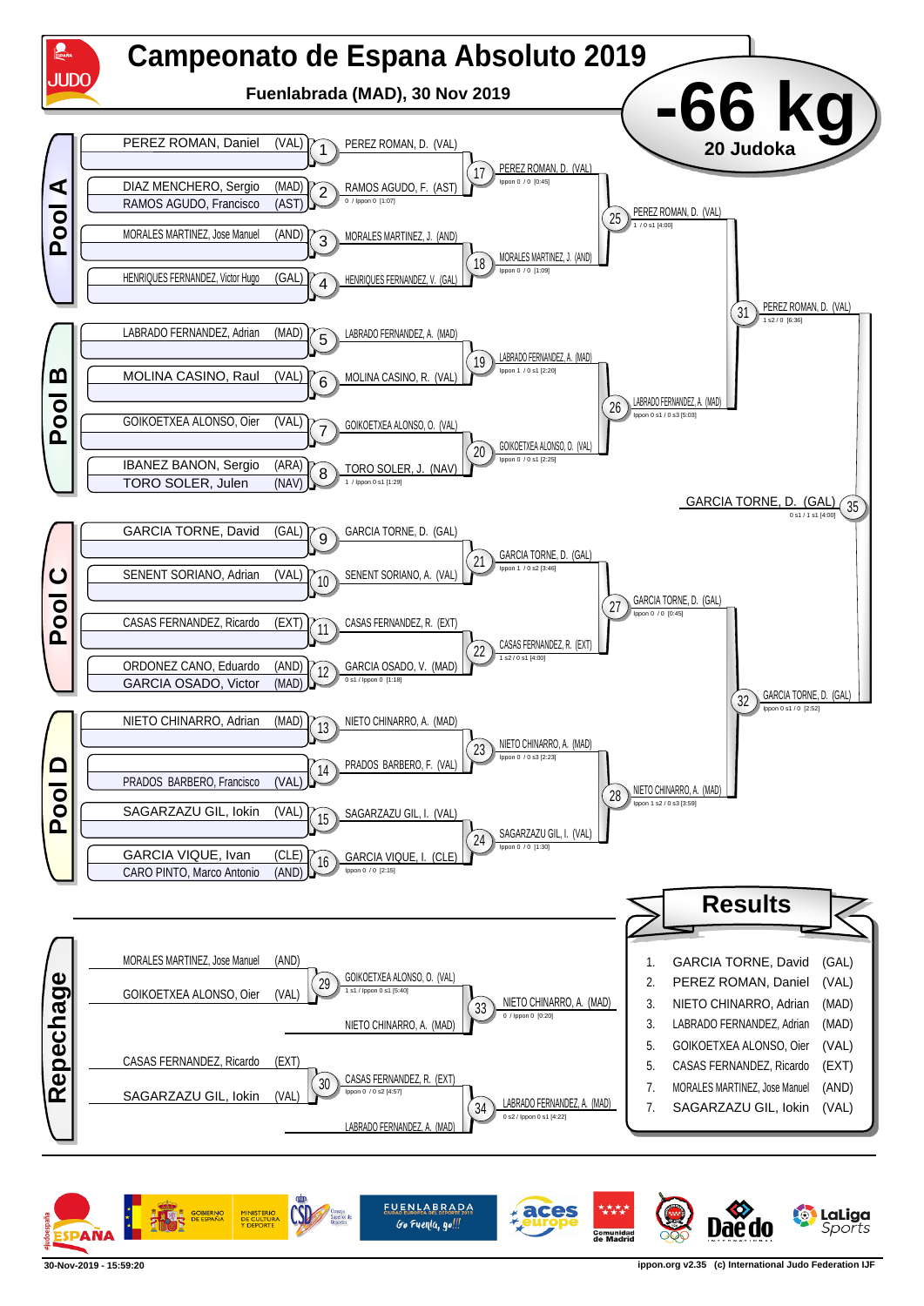

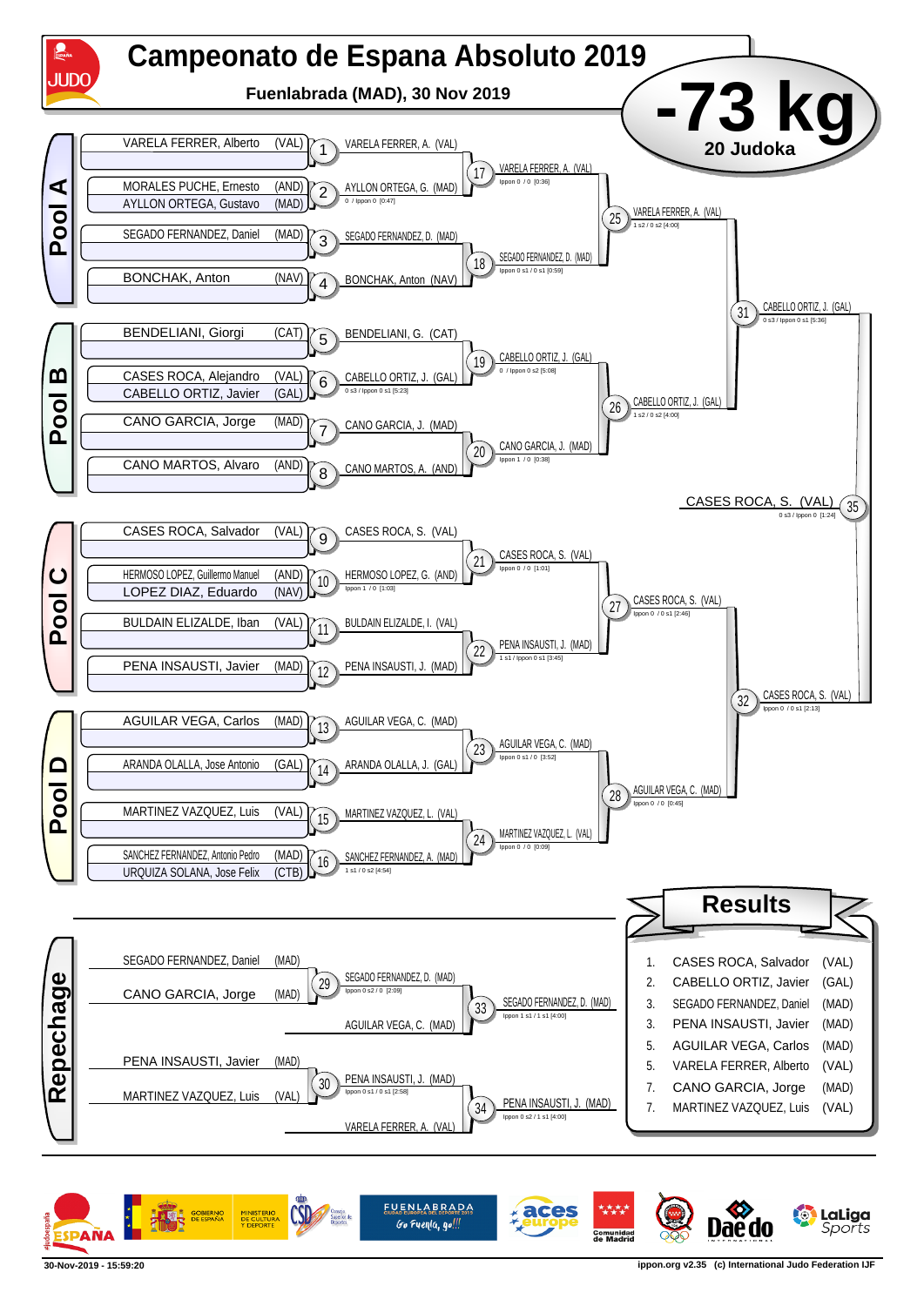

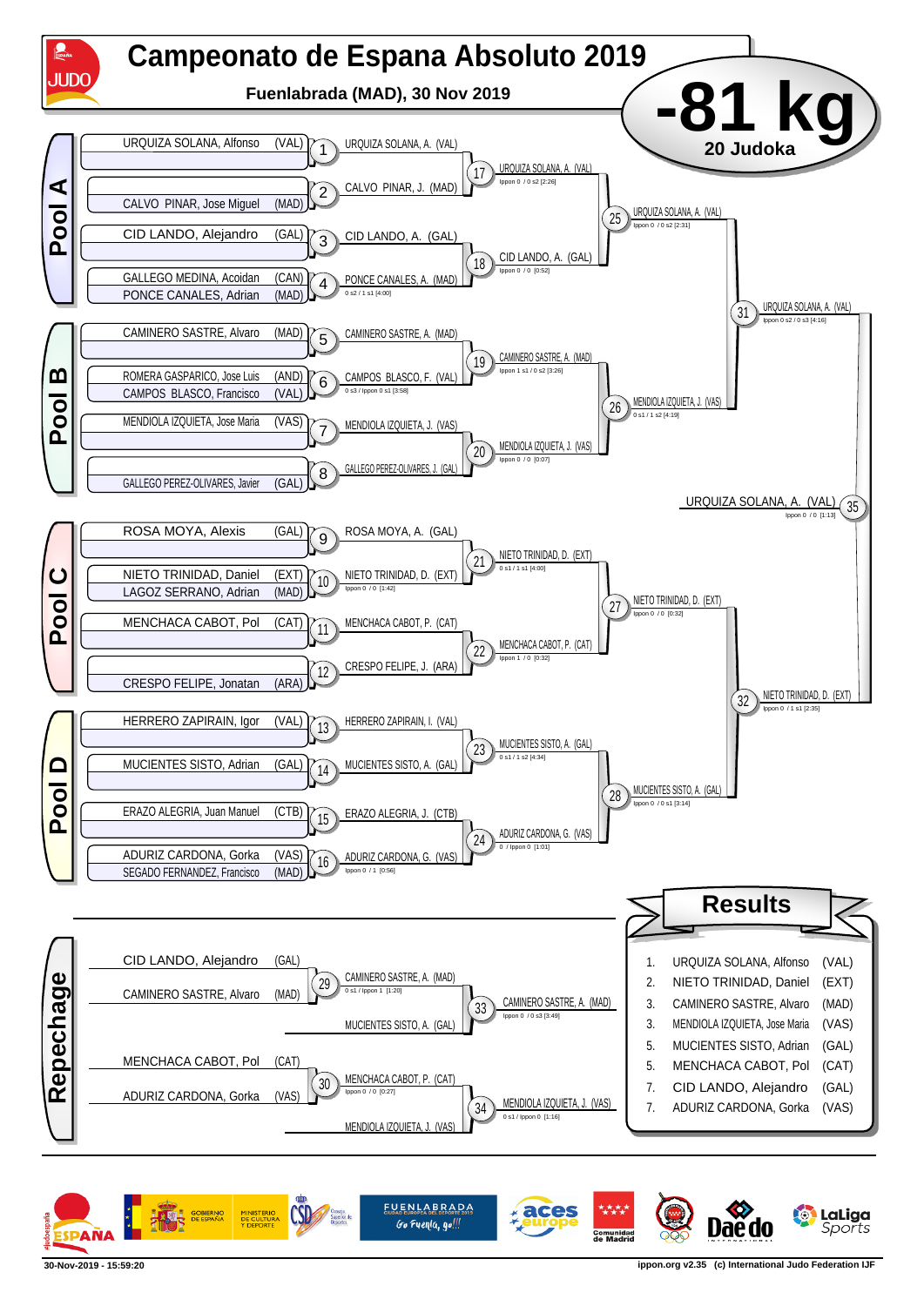

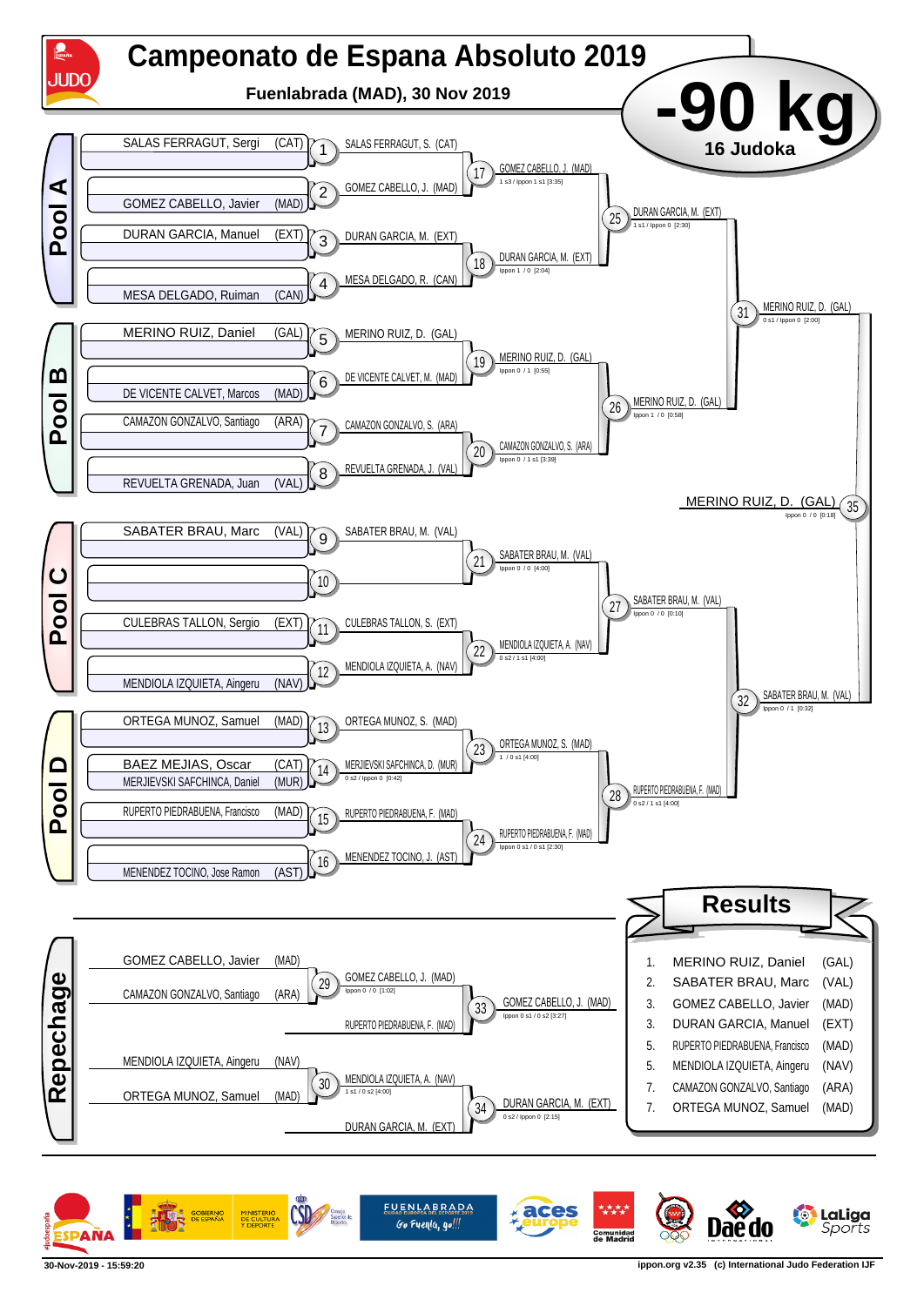

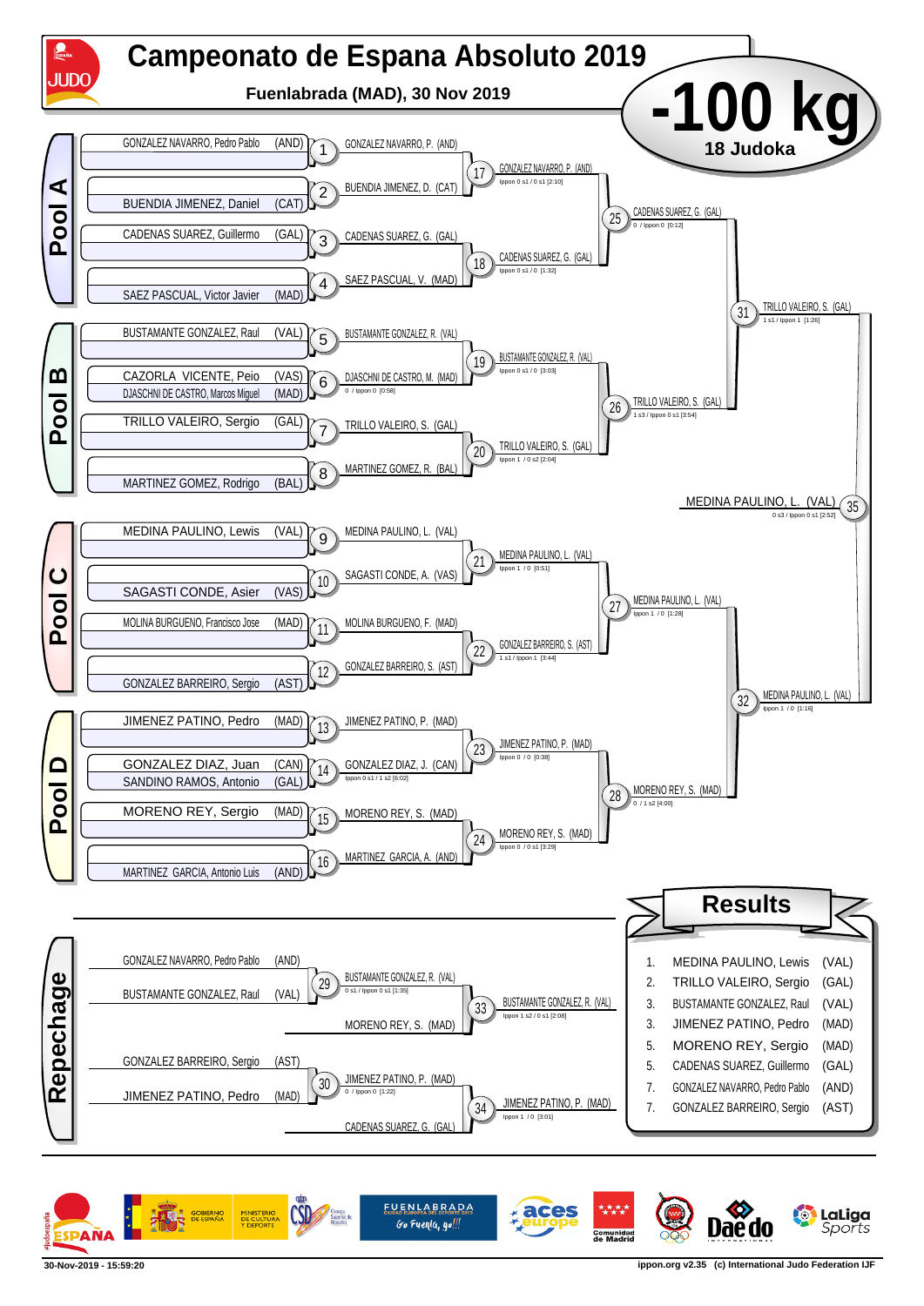

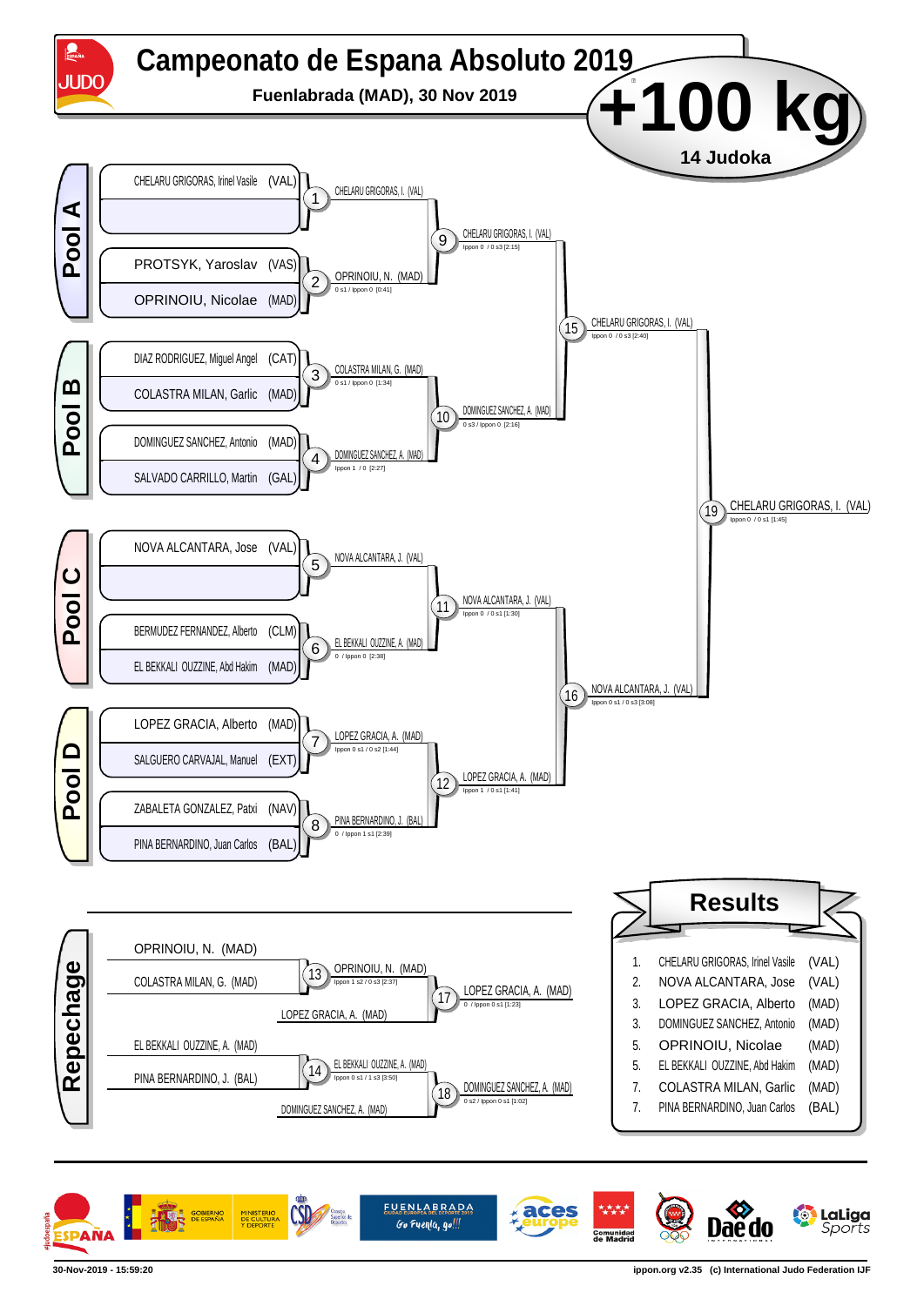

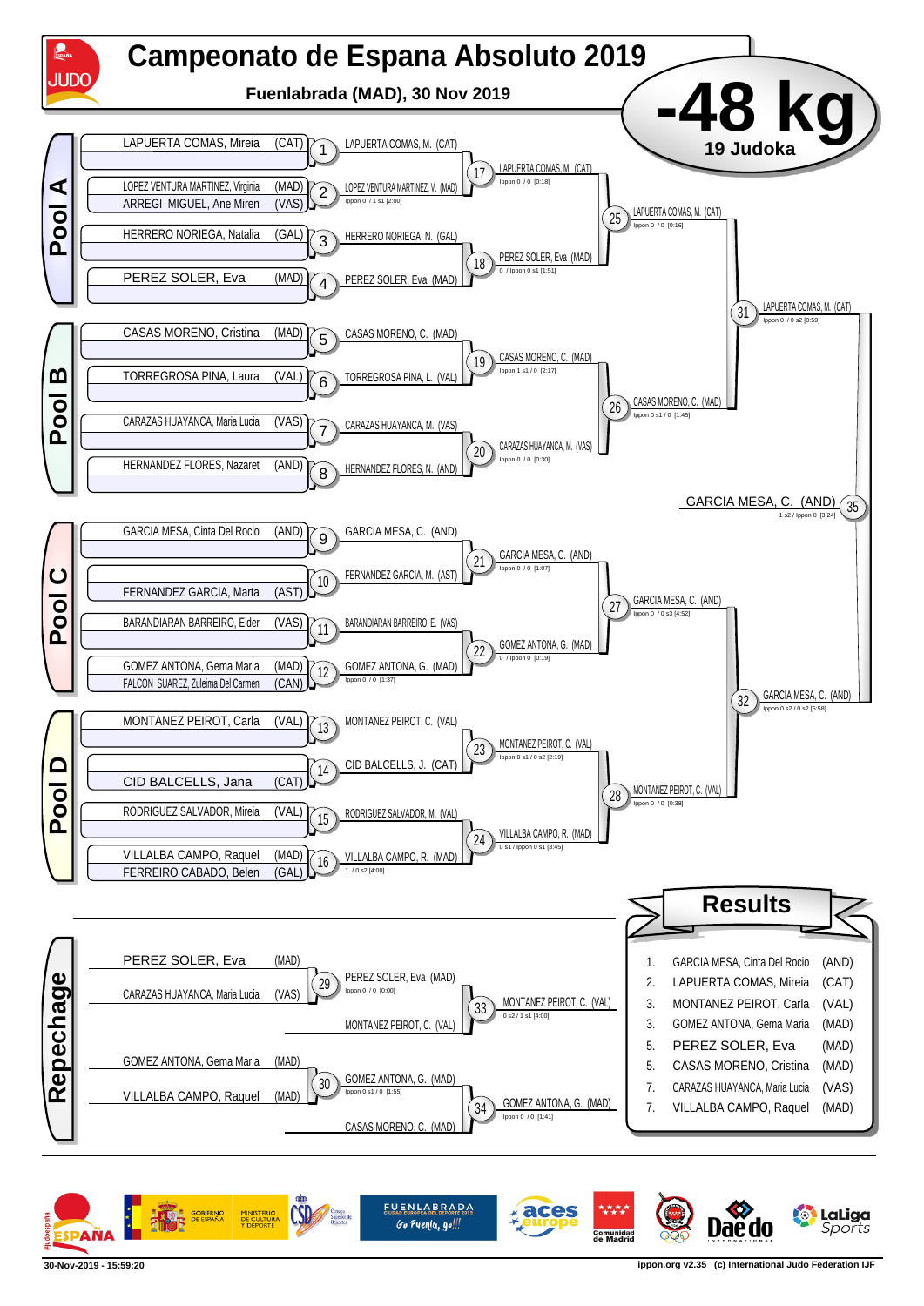

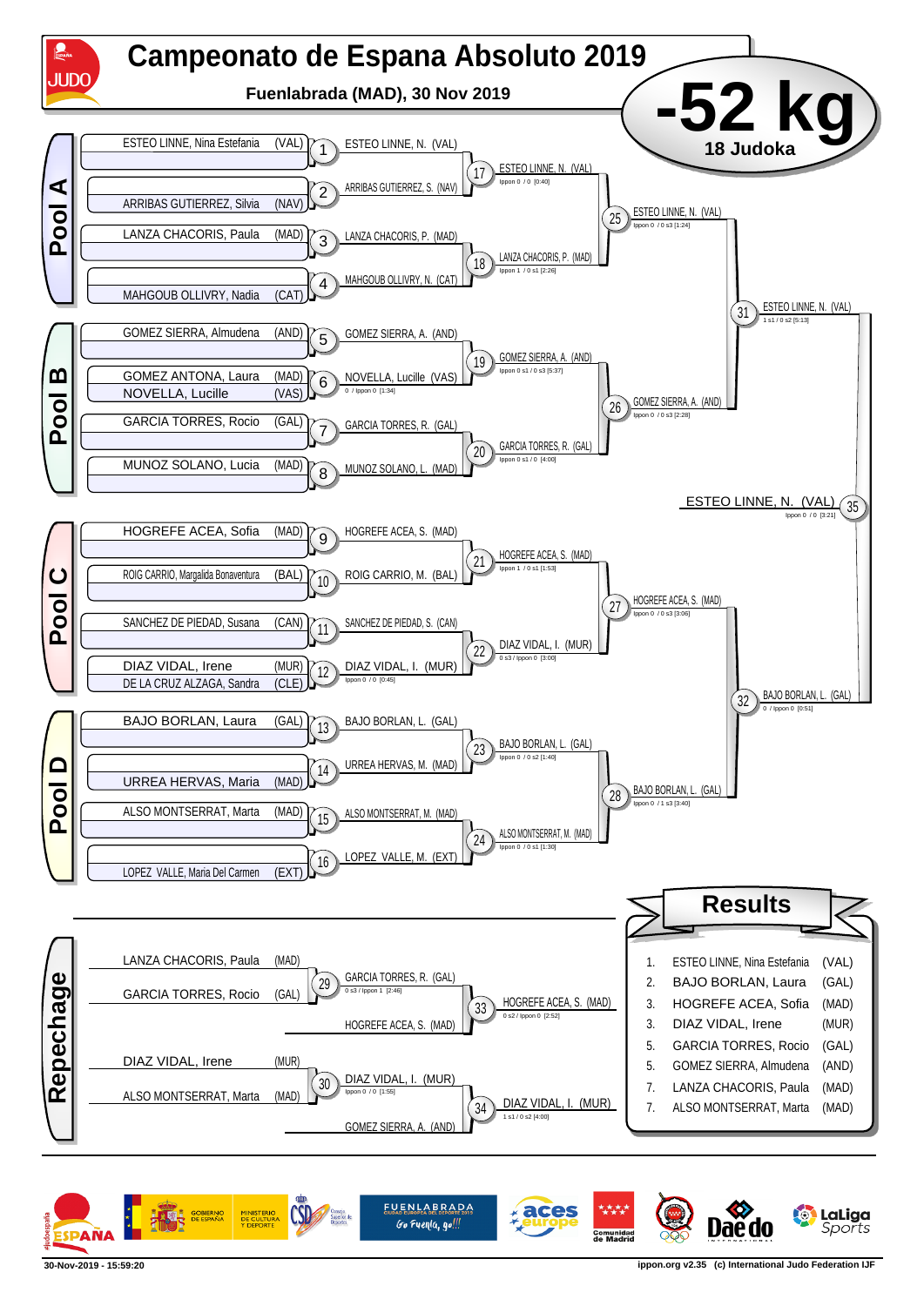

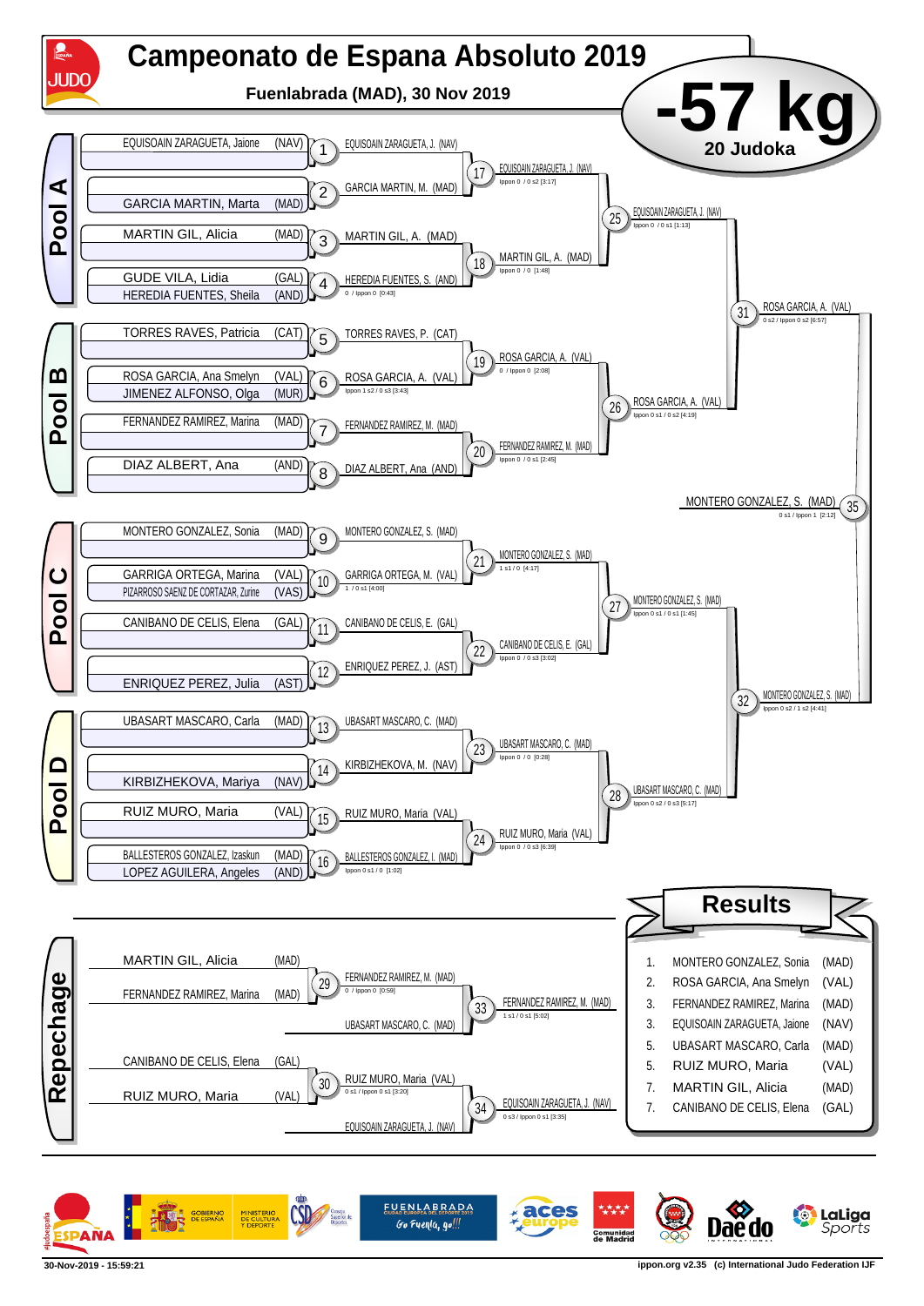

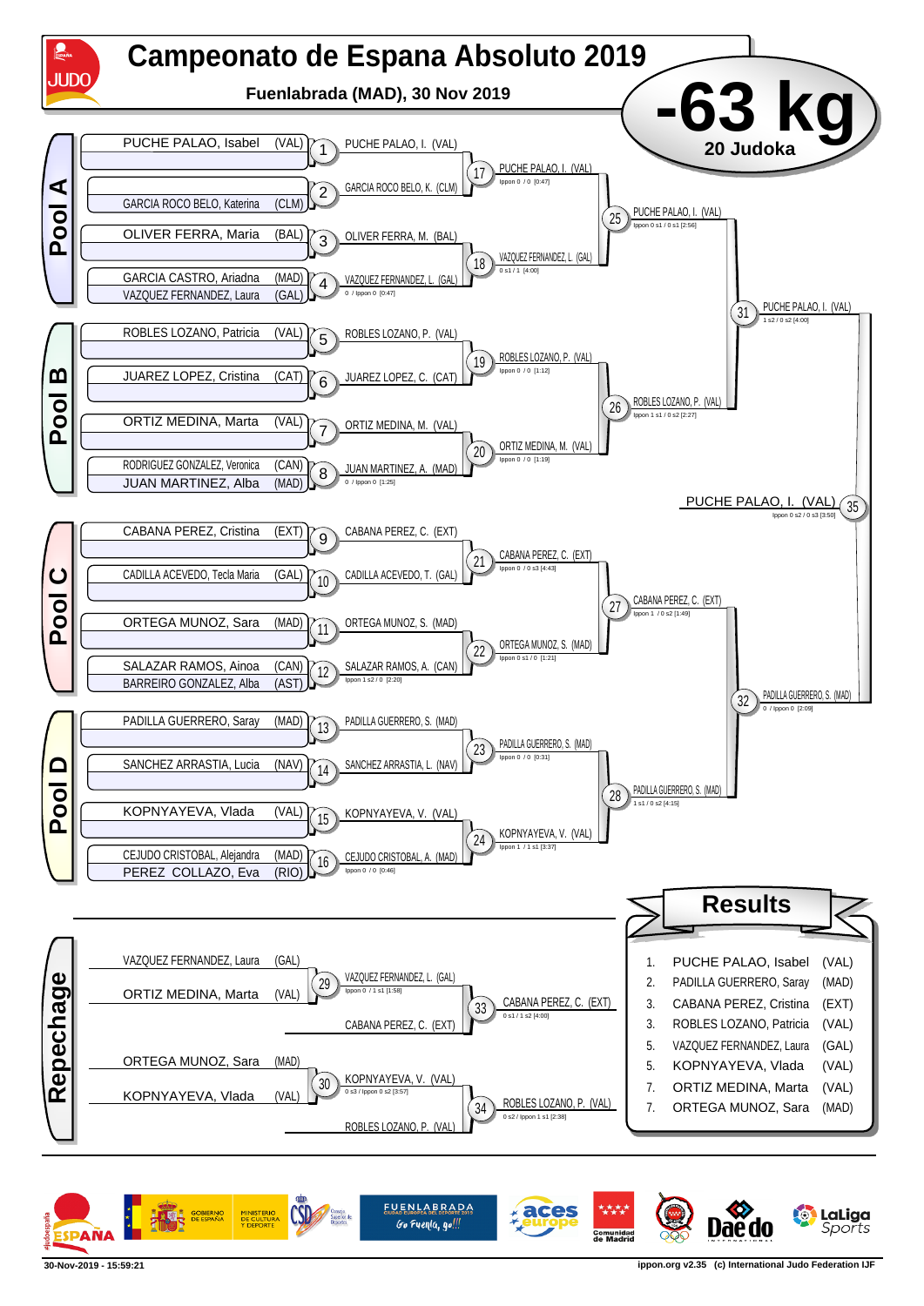

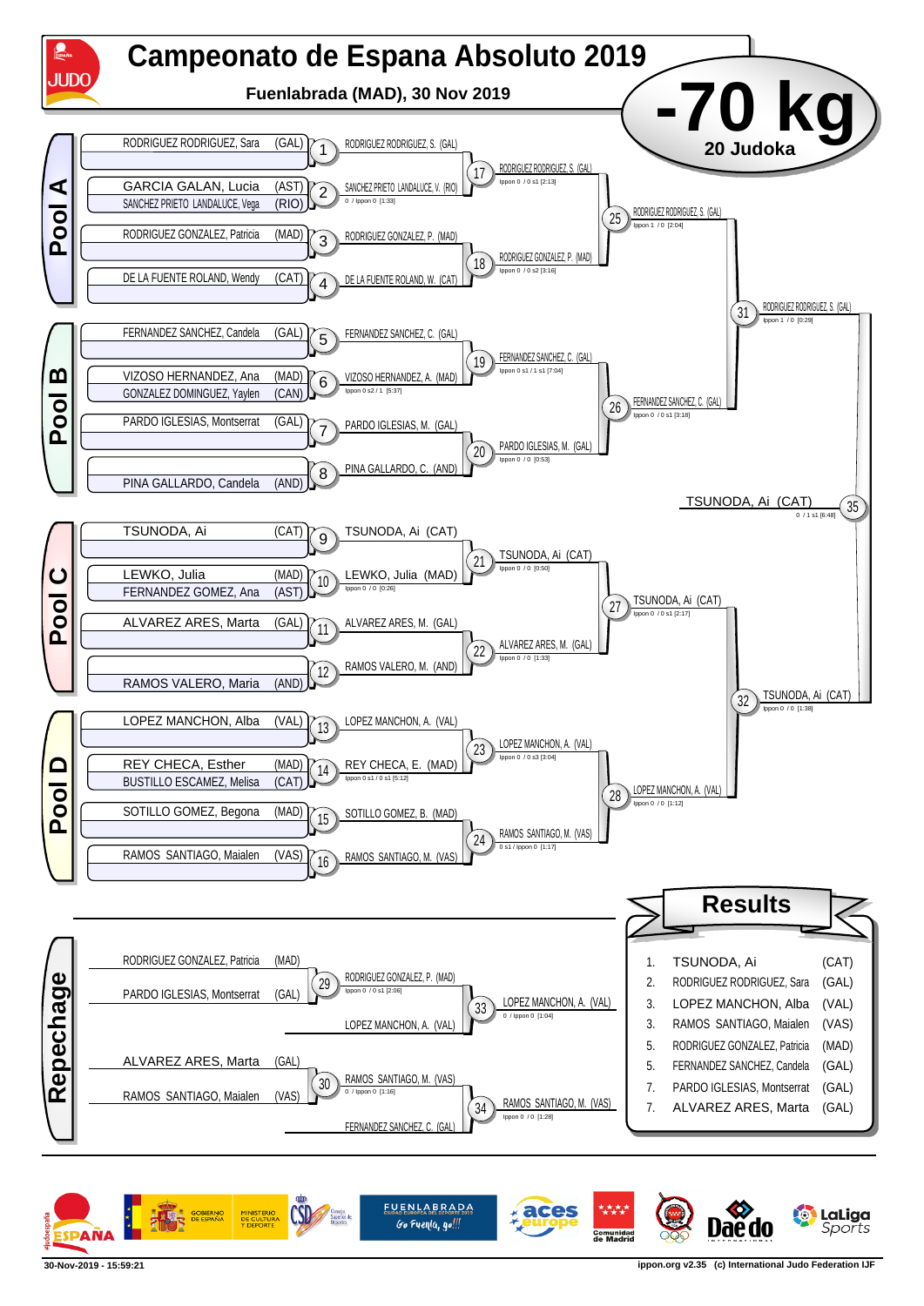

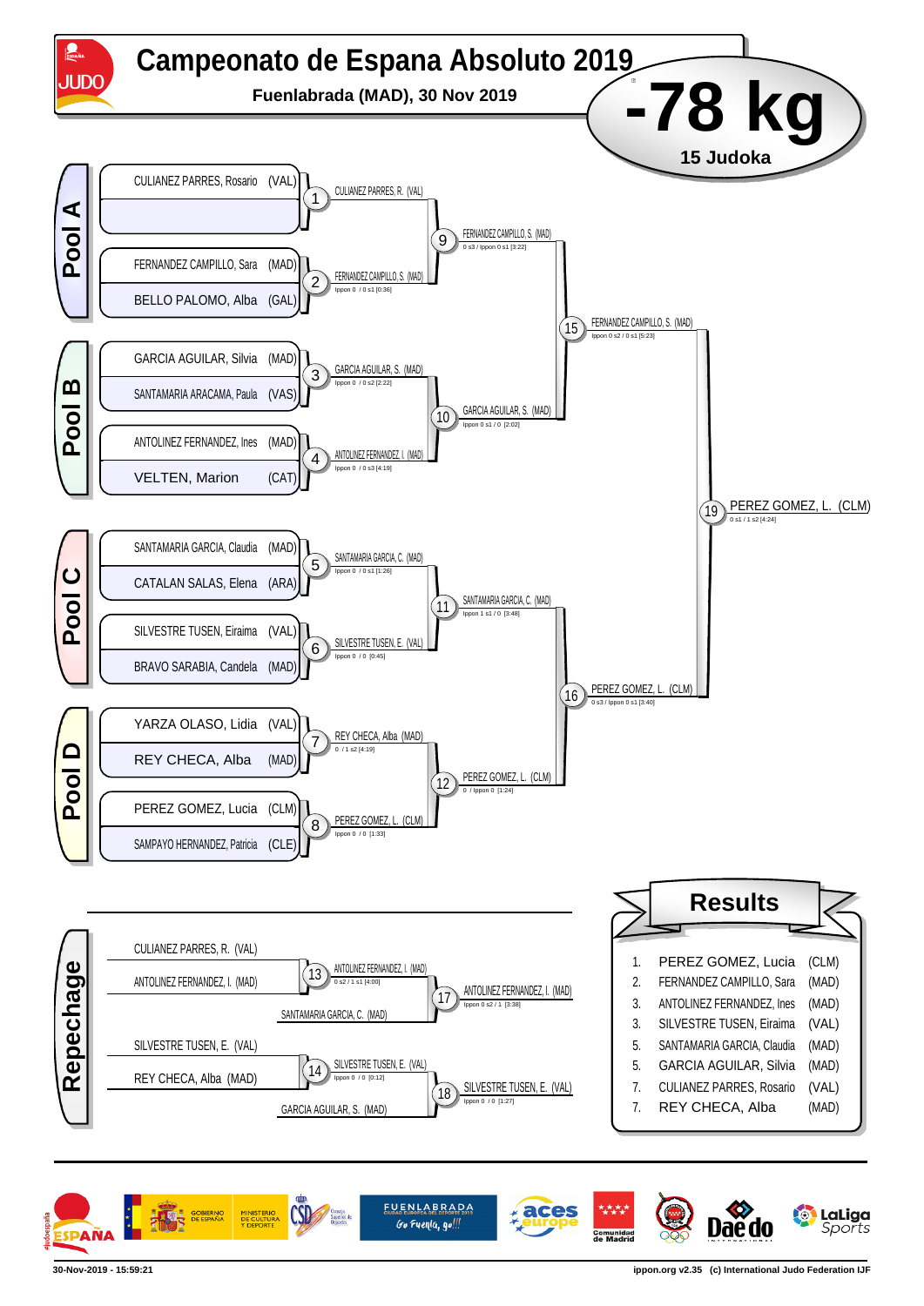